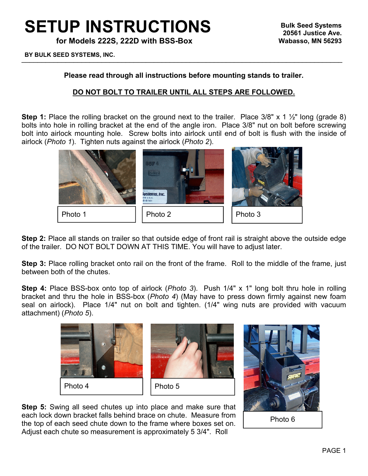## **SETUP INSTRUCTIONS**

**for Models 222S, 222D with BSS-Box**

 $\Box$  DOLIN OLLD OTOTERRO, RNO. **BY BULK SEED SYSTEMS, INC.**

## **Please read through all instructions before mounting stands to trailer.**

## **DO NOT BOLT TO TRAILER UNTIL ALL STEPS ARE FOLLOWED.**

**Step 1:** Place the rolling bracket on the ground next to the trailer. Place 3/8" x 1 ½" long (grade 8) bolts into hole in rolling bracket at the end of the angle iron. Place 3/8" nut on bolt before screwing bolt into airlock mounting hole. Screw bolts into airlock until end of bolt is flush with the inside of airlock (*Photo 1*). Tighten nuts against the airlock (*Photo 2*).



**Step 2:** Place all stands on trailer so that outside edge of front rail is straight above the outside edge of the trailer. DO NOT BOLT DOWN AT THIS TIME. You will have to adjust later.

**Step 3:** Place rolling bracket onto rail on the front of the frame. Roll to the middle of the frame, just between both of the chutes.

**Step 4:** Place BSS-box onto top of airlock (*Photo 3*). Push 1/4" x 1" long bolt thru hole in rolling bracket and thru the hole in BSS-box (*Photo 4*) (May have to press down firmly against new foam seal on airlock). Place 1/4" nut on bolt and tighten. (1/4" wing nuts are provided with vacuum attachment) (*Photo 5*).



**Step 5:** Swing all seed chutes up into place and make sure that each lock down bracket falls behind brace on chute. Measure from the top of each seed chute down to the frame where boxes set on. Adjust each chute so measurement is approximately 5 3/4". Roll